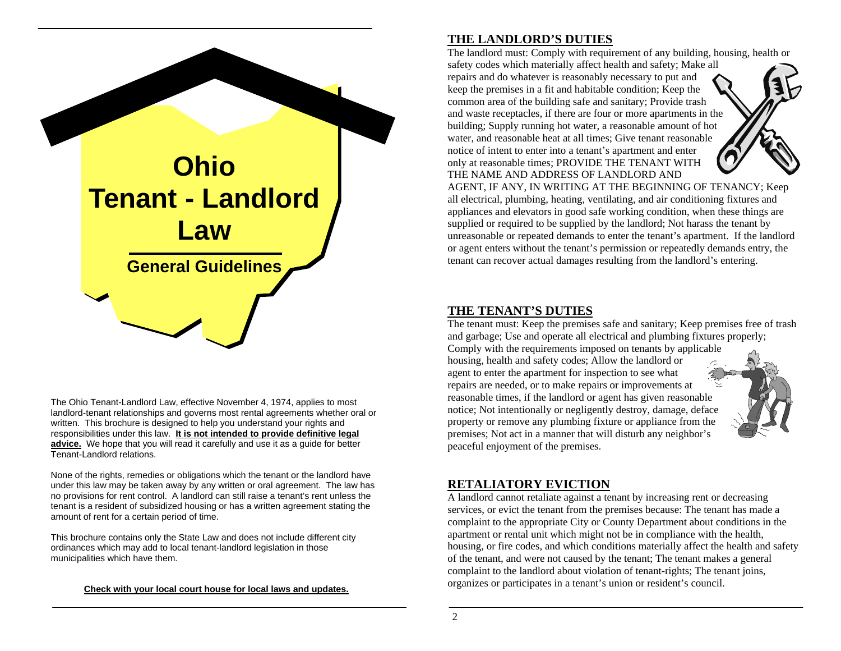

The Ohio Tenant-Landlord Law, effective November 4, 1974, applies to most landlord-tenant relationships and governs most rental agreements whether oral or written. This brochure is designed to help you understand your rights and responsibilities under this law. **It is not intended to provide definitive legal**  advice. We hope that you will read it carefully and use it as a guide for better Tenant-Landlord relations.

None of the rights, remedies or obligations which the tenant or the landlord have under this law may be taken away by any written or oral agreement. The law has no provisions for rent control. A landlord can still raise a tenant's rent unless the tenant is a resident of subsidized housing or has a written agreement stating the amount of rent for a certain period of time.

This brochure contains only the State Law and does not include different city ordinances which may add to local tenant-landlord legislation in those municipalities which have them.

#### **Check with your local court house for local laws and updates.**

#### **THE LANDLORD'S DUTIES**

The landlord must: Comply with requirement of any building, housing, health or

safety codes which materially affect health and safety; Make all repairs and do whatever is reasonably necessary to put and keep the premises in a fit and habitable condition; Keep the common area of the building safe and sanitary; Provide trash and waste receptacles, if there are four or more apartments in the building; Supply running hot water, a reasonable amount of hot water, and reasonable heat at all times; Give tenant reasonable notice of intent to enter into a tenant's apartment and enter only at reasonable times; PROVIDE THE TENANT WITH THE NAME AND ADDRESS OF LANDLORD AND

AGENT, IF ANY, IN WRITING AT THE BEGINNING OF TENANCY; Keep all electrical, plumbing, heating, ventilating, and air conditioning fixtures and appliances and elevators in good safe working condition, when these things are supplied or required to be supplied by the landlord; Not harass the tenant by unreasonable or repeated demands to enter the tenant's apartment. If the landlord or agent enters without the tenant's permission or repeatedly demands entry, the tenant can recover actual damages resulting from the landlord's entering.

#### **THE TENANT'S DUTIES**

The tenant must: Keep the premises safe and sanitary; Keep premises free of trash and garbage; Use and operate all electrical and plumbing fixtures properly; Comply with the requirements imposed on tenants by applicable housing, health and safety codes; Allow the landlord or agent to enter the apartment for inspection to see what repairs are needed, or to make repairs or improvements at reasonable times, if the landlord or agent has given reasonable notice; Not intentionally or negligently destroy, damage, deface property or remove any plumbing fixture or appliance from the premises; Not act in a manner that will disturb any neighbor's peaceful enjoyment of the premises.



### **RETALIATORY EVICTION**

A landlord cannot retaliate against a tenant by increasing rent or decreasing services, or evict the tenant from the premises because: The tenant has made a complaint to the appropriate City or County Department about conditions in the apartment or rental unit which might not be in compliance with the health, housing, or fire codes, and which conditions materially affect the health and safety of the tenant, and were not caused by the tenant; The tenant makes a general complaint to the landlord about violation of tenant-rights; The tenant joins, organizes or participates in a tenant's union or resident's council.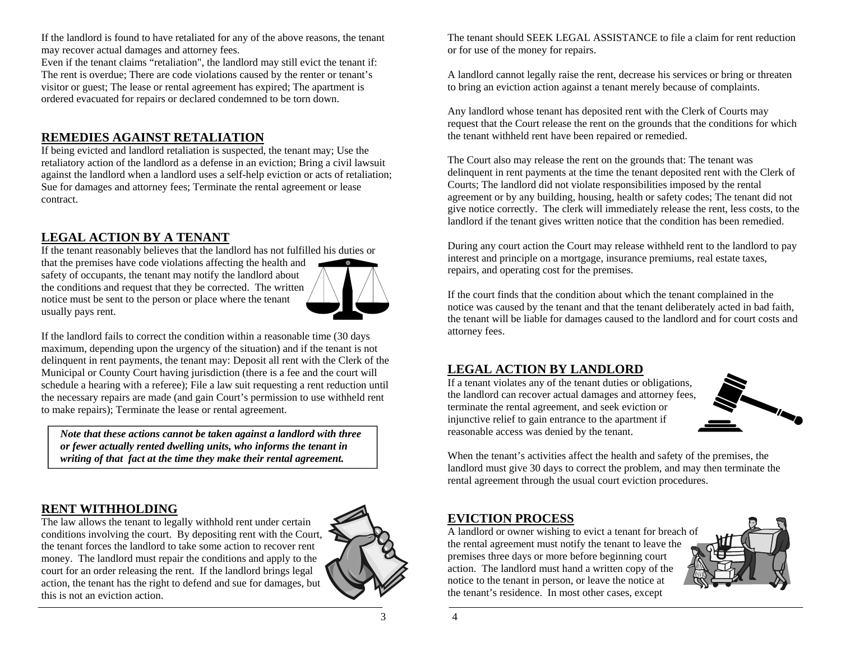If the landlord is found to have retaliated for any of the above reasons, the tenant may recover actual damages and attorney fees.

Even if the tenant claims "retaliation", the landlord may still evict the tenant if: The rent is overdue; There are code violations caused by the renter or tenant's visitor or guest; The lease or rental agreement has expired; The apartment is ordered evacuated for repairs or declared condemned to be torn down.

# **REMEDIES AGAINST RETALIATION**

If being evicted and landlord retaliation is suspected, the tenant may; Use the retaliatory action of the landlord as a defense in an eviction; Bring a civil lawsuit against the landlord when a landlord uses a self-help eviction or acts of retaliation; Sue for damages and attorney fees; Terminate the rental agreement or lease contract.

# **LEGAL ACTION BY A TENANT**

If the tenant reasonably believes that the landlord has not fulfilled his duties or that the premises have code violations affecting the health and safety of occupants, the tenant may notify the landlord about the conditions and request that they be corrected. The written notice must be sent to the person or place where the tenant usually pays rent.



If the landlord fails to correct the condition within a reasonable time (30 days maximum, depending upon the urgency of the situation) and if the tenant is not delinquent in rent payments, the tenant may: Deposit all rent with the Clerk of the Municipal or County Court having jurisdiction (there is a fee and the court will schedule a hearing with a referee); File a law suit requesting a rent reduction until the necessary repairs are made (and gain Court's permission to use withheld rent to make repairs); Terminate the lease or rental agreement.

*Note that these actions cannot be taken against a landlord with three or fewer actually rented dwelling units, who informs the tenant in writing of that fact at the time they make their rental agreement.* 

# **RENT WITHHOLDING**

The law allows the tenant to legally withhold rent under certain conditions involving the court. By depositing rent with the Court, the tenant forces the landlord to take some action to recover rent money. The landlord must repair the conditions and apply to the court for an order releasing the rent. If the landlord brings legal action, the tenant has the right to defend and sue for damages, but this is not an eviction action.



The tenant should SEEK LEGAL ASSISTANCE to file a claim for rent reduction or for use of the money for repairs.

A landlord cannot legally raise the rent, decrease his services or bring or threaten to bring an eviction action against a tenant merely because of complaints.

Any landlord whose tenant has deposited rent with the Clerk of Courts may request that the Court release the rent on the grounds that the conditions for which the tenant withheld rent have been repaired or remedied.

The Court also may release the rent on the grounds that: The tenant was delinquent in rent payments at the time the tenant deposited rent with the Clerk of Courts; The landlord did not violate responsibilities imposed by the rental agreement or by any building, housing, health or safety codes; The tenant did not give notice correctly. The clerk will immediately release the rent, less costs, to the landlord if the tenant gives written notice that the condition has been remedied.

During any court action the Court may release withheld rent to the landlord to pay interest and principle on a mortgage, insurance premiums, real estate taxes, repairs, and operating cost for the premises.

If the court finds that the condition about which the tenant complained in the notice was caused by the tenant and that the tenant deliberately acted in bad faith, the tenant will be liable for damages caused to the landlord and for court costs and attorney fees.

### **LEGAL ACTION BY LANDLORD**

If a tenant violates any of the tenant duties or obligations, the landlord can recover actual damages and attorney fees, terminate the rental agreement, and seek eviction or injunctive relief to gain entrance to the apartment if reasonable access was denied by the tenant.



When the tenant's activities affect the health and safety of the premises, the landlord must give 30 days to correct the problem, and may then terminate the rental agreement through the usual court eviction procedures.

# **EVICTION PROCESS**

A landlord or owner wishing to evict a tenant for breach of the rental agreement must notify the tenant to leave the premises three days or more before beginning court action. The landlord must hand a written copy of the notice to the tenant in person, or leave the notice at the tenant's residence. In most other cases, except

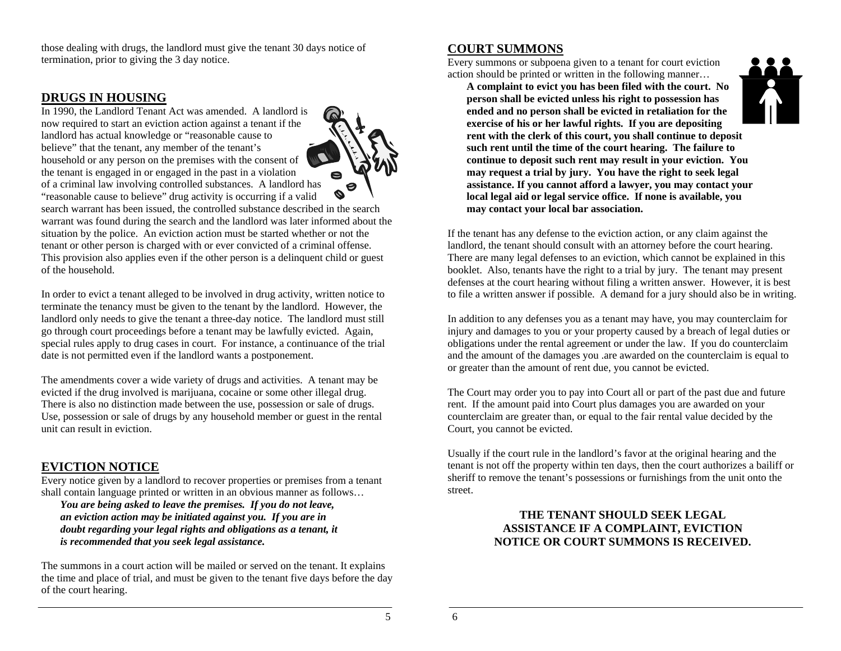those dealing with drugs, the landlord must give the tenant 30 days notice of termination, prior to giving the 3 day notice.

#### **DRUGS IN HOUSING**

In 1990, the Landlord Tenant Act was amended. A landlord is now required to start an eviction action against a tenant if the landlord has actual knowledge or "reasonable cause to believe" that the tenant, any member of the tenant's household or any person on the premises with the consent of the tenant is engaged in or engaged in the past in a violation of a criminal law involving controlled substances. A landlord has "reasonable cause to believe" drug activity is occurring if a valid



search warrant has been issued, the controlled substance described in the search warrant was found during the search and the landlord was later informed about the situation by the police. An eviction action must be started whether or not the tenant or other person is charged with or ever convicted of a criminal offense. This provision also applies even if the other person is a delinquent child or guest of the household.

In order to evict a tenant alleged to be involved in drug activity, written notice to terminate the tenancy must be given to the tenant by the landlord. However, the landlord only needs to give the tenant a three-day notice. The landlord must still go through court proceedings before a tenant may be lawfully evicted. Again, special rules apply to drug cases in court. For instance, a continuance of the trial date is not permitted even if the landlord wants a postponement.

The amendments cover a wide variety of drugs and activities. A tenant may be evicted if the drug involved is marijuana, cocaine or some other illegal drug. There is also no distinction made between the use, possession or sale of drugs. Use, possession or sale of drugs by any household member or guest in the rental unit can result in eviction.

### **EVICTION NOTICE**

Every notice given by a landlord to recover properties or premises from a tenant shall contain language printed or written in an obvious manner as follows…

*You are being asked to leave the premises. If you do not leave, an eviction action may be initiated against you. If you are in doubt regarding your legal rights and obligations as a tenant, it is recommended that you seek legal assistance.* 

The summons in a court action will be mailed or served on the tenant. It explains the time and place of trial, and must be given to the tenant five days before the day of the court hearing.

### **COURT SUMMONS**

Every summons or subpoena given to a tenant for court eviction action should be printed or written in the following manner…



If the tenant has any defense to the eviction action, or any claim against the landlord, the tenant should consult with an attorney before the court hearing. There are many legal defenses to an eviction, which cannot be explained in this booklet. Also, tenants have the right to a trial by jury. The tenant may present defenses at the court hearing without filing a written answer. However, it is best to file a written answer if possible. A demand for a jury should also be in writing.

In addition to any defenses you as a tenant may have, you may counterclaim for injury and damages to you or your property caused by a breach of legal duties or obligations under the rental agreement or under the law. If you do counterclaim and the amount of the damages you .are awarded on the counterclaim is equal to or greater than the amount of rent due, you cannot be evicted.

The Court may order you to pay into Court all or part of the past due and future rent. If the amount paid into Court plus damages you are awarded on your counterclaim are greater than, or equal to the fair rental value decided by the Court, you cannot be evicted.

Usually if the court rule in the landlord's favor at the original hearing and the tenant is not off the property within ten days, then the court authorizes a bailiff or sheriff to remove the tenant's possessions or furnishings from the unit onto the street.

#### **THE TENANT SHOULD SEEK LEGAL ASSISTANCE IF A COMPLAINT, EVICTION NOTICE OR COURT SUMMONS IS RECEIVED.**

5 6